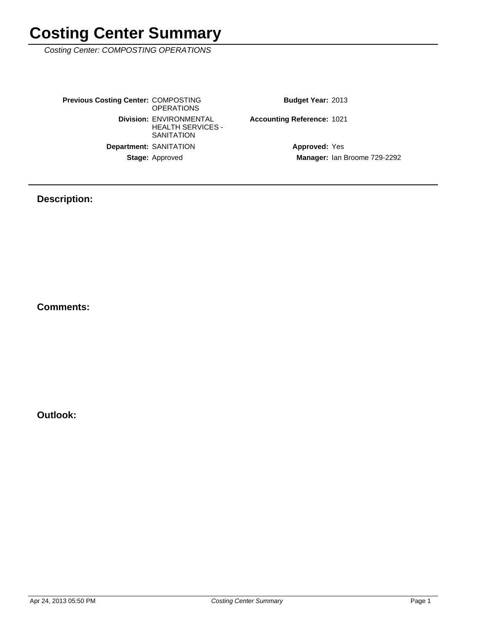Costing Center: COMPOSTING OPERATIONS

Stage: Approved **Department: SANITATION Division: ENVIRONMENTAL** HEALTH SERVICES - **SANITATION Previous Costing Center: COMPOSTING** OPERATIONS

Budget Year: 2013

Accounting Reference: 1021

Manager: Ian Broome 729-2292 **Approved: Yes** 

### **Description:**

**Comments:**

**Outlook:**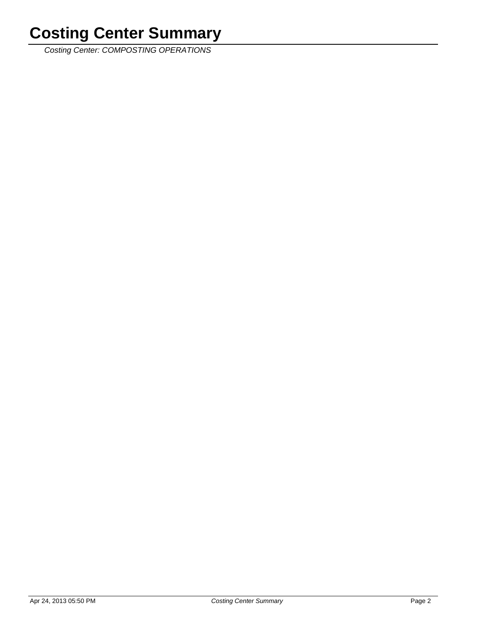Costing Center: COMPOSTING OPERATIONS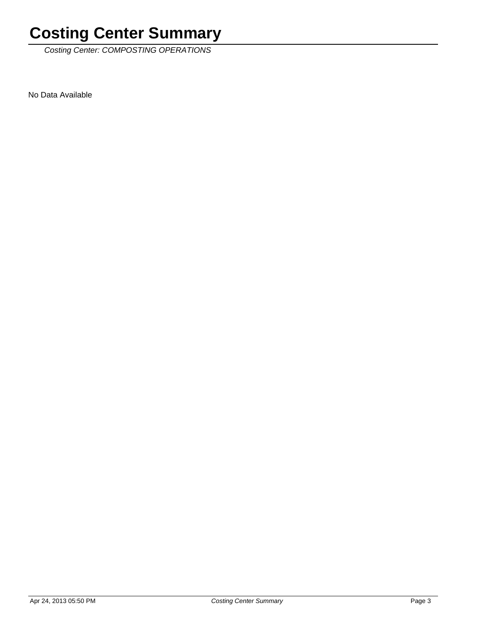Costing Center: COMPOSTING OPERATIONS

No Data Available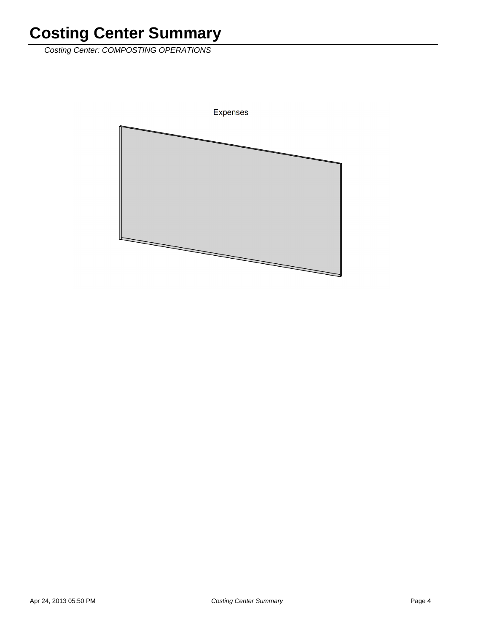Costing Center: COMPOSTING OPERATIONS

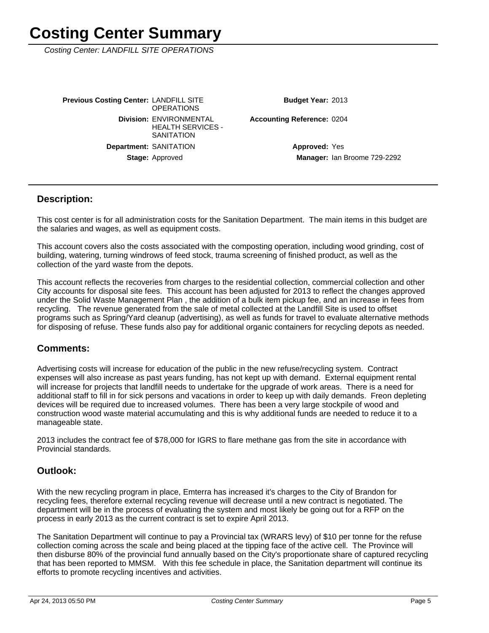Costing Center: LANDFILL SITE OPERATIONS

Stage: Approved **Department: SANITATION Division: ENVIRONMENTAL** HEALTH SERVICES - **SANITATION Previous Costing Center: LANDFILL SITE OPERATIONS** 

Budget Year: 2013

**Accounting Reference: 0204** 

Manager: Ian Broome 729-2292 **Approved: Yes** 

#### **Description:**

This cost center is for all administration costs for the Sanitation Department. The main items in this budget are the salaries and wages, as well as equipment costs.

This account covers also the costs associated with the composting operation, including wood grinding, cost of building, watering, turning windrows of feed stock, trauma screening of finished product, as well as the collection of the yard waste from the depots.

This account reflects the recoveries from charges to the residential collection, commercial collection and other City accounts for disposal site fees. This account has been adjusted for 2013 to reflect the changes approved under the Solid Waste Management Plan , the addition of a bulk item pickup fee, and an increase in fees from recycling. The revenue generated from the sale of metal collected at the Landfill Site is used to offset programs such as Spring/Yard cleanup (advertising), as well as funds for travel to evaluate alternative methods for disposing of refuse. These funds also pay for additional organic containers for recycling depots as needed.

#### **Comments:**

Advertising costs will increase for education of the public in the new refuse/recycling system. Contract expenses will also increase as past years funding, has not kept up with demand. External equipment rental will increase for projects that landfill needs to undertake for the upgrade of work areas. There is a need for additional staff to fill in for sick persons and vacations in order to keep up with daily demands. Freon depleting devices will be required due to increased volumes. There has been a very large stockpile of wood and construction wood waste material accumulating and this is why additional funds are needed to reduce it to a manageable state.

2013 includes the contract fee of \$78,000 for IGRS to flare methane gas from the site in accordance with Provincial standards.

### **Outlook:**

With the new recycling program in place, Emterra has increased it's charges to the City of Brandon for recycling fees, therefore external recycling revenue will decrease until a new contract is negotiated. The department will be in the process of evaluating the system and most likely be going out for a RFP on the process in early 2013 as the current contract is set to expire April 2013.

The Sanitation Department will continue to pay a Provincial tax (WRARS levy) of \$10 per tonne for the refuse collection coming across the scale and being placed at the tipping face of the active cell. The Province will then disburse 80% of the provincial fund annually based on the City's proportionate share of captured recycling that has been reported to MMSM. With this fee schedule in place, the Sanitation department will continue its efforts to promote recycling incentives and activities.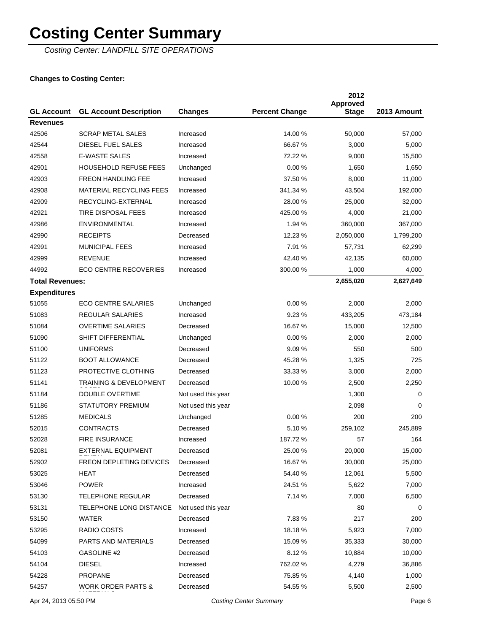Costing Center: LANDFILL SITE OPERATIONS

### **Changes to Costing Center:**

| <b>GL Account</b>      | <b>GL Account Description</b>     | <b>Changes</b>     | <b>Percent Change</b> | 2012<br><b>Approved</b><br><b>Stage</b> | 2013 Amount |
|------------------------|-----------------------------------|--------------------|-----------------------|-----------------------------------------|-------------|
| <b>Revenues</b>        |                                   |                    |                       |                                         |             |
| 42506                  | <b>SCRAP METAL SALES</b>          | Increased          | 14.00 %               | 50,000                                  | 57,000      |
| 42544                  | <b>DIESEL FUEL SALES</b>          | Increased          | 66.67 %               | 3,000                                   | 5,000       |
| 42558                  | <b>E-WASTE SALES</b>              | Increased          | 72.22 %               | 9,000                                   | 15,500      |
| 42901                  | <b>HOUSEHOLD REFUSE FEES</b>      | Unchanged          | 0.00%                 | 1,650                                   | 1,650       |
| 42903                  | <b>FREON HANDLING FEE</b>         | Increased          | 37.50 %               | 8,000                                   | 11,000      |
| 42908                  | <b>MATERIAL RECYCLING FEES</b>    | Increased          | 341.34 %              | 43,504                                  | 192,000     |
| 42909                  | RECYCLING-EXTERNAL                | Increased          | 28.00 %               | 25,000                                  | 32,000      |
| 42921                  | TIRE DISPOSAL FEES                | Increased          | 425.00 %              | 4,000                                   | 21,000      |
| 42986                  | <b>ENVIRONMENTAL</b>              | Increased          | 1.94 %                | 360,000                                 | 367,000     |
| 42990                  | <b>RECEIPTS</b>                   | Decreased          | 12.23 %               | 2,050,000                               | 1,799,200   |
| 42991                  | <b>MUNICIPAL FEES</b>             | Increased          | 7.91 %                | 57,731                                  | 62,299      |
| 42999                  | <b>REVENUE</b>                    | Increased          | 42.40 %               | 42,135                                  | 60,000      |
| 44992                  | <b>ECO CENTRE RECOVERIES</b>      | Increased          | 300.00 %              | 1,000                                   | 4,000       |
| <b>Total Revenues:</b> |                                   |                    |                       | 2,655,020                               | 2,627,649   |
| <b>Expenditures</b>    |                                   |                    |                       |                                         |             |
| 51055                  | <b>ECO CENTRE SALARIES</b>        | Unchanged          | 0.00%                 | 2,000                                   | 2,000       |
| 51083                  | <b>REGULAR SALARIES</b>           | Increased          | 9.23%                 | 433,205                                 | 473,184     |
| 51084                  | <b>OVERTIME SALARIES</b>          | Decreased          | 16.67 %               | 15,000                                  | 12,500      |
| 51090                  | SHIFT DIFFERENTIAL                | Unchanged          | 0.00%                 | 2,000                                   | 2,000       |
| 51100                  | <b>UNIFORMS</b>                   | Decreased          | 9.09%                 | 550                                     | 500         |
| 51122                  | <b>BOOT ALLOWANCE</b>             | Decreased          | 45.28 %               | 1,325                                   | 725         |
| 51123                  | PROTECTIVE CLOTHING               | Decreased          | 33.33 %               | 3,000                                   | 2,000       |
| 51141                  | <b>TRAINING &amp; DEVELOPMENT</b> | Decreased          | 10.00 %               | 2,500                                   | 2,250       |
| 51184                  | <b>DOUBLE OVERTIME</b>            | Not used this year |                       | 1,300                                   | 0           |
| 51186                  | <b>STATUTORY PREMIUM</b>          | Not used this year |                       | 2,098                                   | $\Omega$    |
| 51285                  | <b>MEDICALS</b>                   | Unchanged          | 0.00%                 | 200                                     | 200         |
| 52015                  | <b>CONTRACTS</b>                  | Decreased          | 5.10%                 | 259,102                                 | 245,889     |
| 52028                  | <b>FIRE INSURANCE</b>             | Increased          | 187.72 %              | 57                                      | 164         |
| 52081                  | EXTERNAL EQUIPMENT                | Decreased          | 25.00 %               | 20,000                                  | 15,000      |
| 52902                  | <b>FREON DEPLETING DEVICES</b>    | Decreased          | 16.67 %               | 30,000                                  | 25,000      |
| 53025                  | HEAT                              | Decreased          | 54.40 %               | 12,061                                  | 5,500       |
| 53046                  | <b>POWER</b>                      | Increased          | 24.51 %               | 5,622                                   | 7,000       |
| 53130                  | <b>TELEPHONE REGULAR</b>          | Decreased          | 7.14 %                | 7,000                                   | 6,500       |
| 53131                  | TELEPHONE LONG DISTANCE           | Not used this year |                       | 80                                      | 0           |
| 53150                  | WATER                             | Decreased          | 7.83%                 | 217                                     | 200         |
| 53295                  | RADIO COSTS                       | Increased          | 18.18%                | 5,923                                   | 7,000       |
| 54099                  | PARTS AND MATERIALS               | Decreased          | 15.09 %               | 35,333                                  | 30,000      |
| 54103                  | GASOLINE #2                       | Decreased          | 8.12%                 | 10,884                                  | 10,000      |
| 54104                  | <b>DIESEL</b>                     | Increased          | 762.02 %              | 4,279                                   | 36,886      |
| 54228                  | <b>PROPANE</b>                    | Decreased          | 75.85 %               | 4,140                                   | 1,000       |
| 54257                  | <b>WORK ORDER PARTS &amp;</b>     | Decreased          | 54.55 %               | 5,500                                   | 2,500       |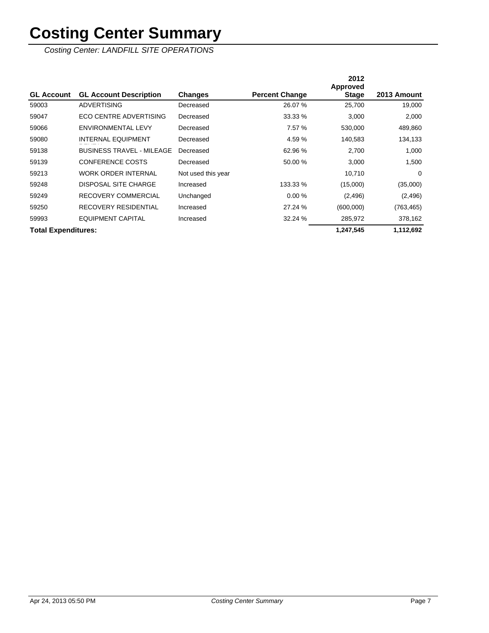Costing Center: LANDFILL SITE OPERATIONS

|                            |                                  |                    |                       | 2012<br>Approved |             |
|----------------------------|----------------------------------|--------------------|-----------------------|------------------|-------------|
| <b>GL Account</b>          | <b>GL Account Description</b>    | <b>Changes</b>     | <b>Percent Change</b> | <b>Stage</b>     | 2013 Amount |
| 59003                      | <b>ADVERTISING</b>               | Decreased          | 26.07 %               | 25,700           | 19,000      |
| 59047                      | <b>ECO CENTRE ADVERTISING</b>    | Decreased          | 33.33 %               | 3,000            | 2,000       |
| 59066                      | <b>ENVIRONMENTAL LEVY</b>        | Decreased          | 7.57 %                | 530,000          | 489,860     |
| 59080                      | <b>INTERNAL EQUIPMENT</b>        | Decreased          | 4.59 %                | 140,583          | 134,133     |
| 59138                      | <b>BUSINESS TRAVEL - MILEAGE</b> | Decreased          | 62.96 %               | 2,700            | 1,000       |
| 59139                      | <b>CONFERENCE COSTS</b>          | Decreased          | 50.00 %               | 3,000            | 1,500       |
| 59213                      | <b>WORK ORDER INTERNAL</b>       | Not used this year |                       | 10,710           | 0           |
| 59248                      | <b>DISPOSAL SITE CHARGE</b>      | Increased          | 133.33 %              | (15,000)         | (35,000)    |
| 59249                      | RECOVERY COMMERCIAL              | Unchanged          | 0.00%                 | (2, 496)         | (2, 496)    |
| 59250                      | <b>RECOVERY RESIDENTIAL</b>      | Increased          | 27.24 %               | (600,000)        | (763, 465)  |
| 59993                      | <b>EQUIPMENT CAPITAL</b>         | Increased          | 32.24 %               | 285,972          | 378,162     |
| <b>Total Expenditures:</b> |                                  |                    |                       | 1,247,545        | 1,112,692   |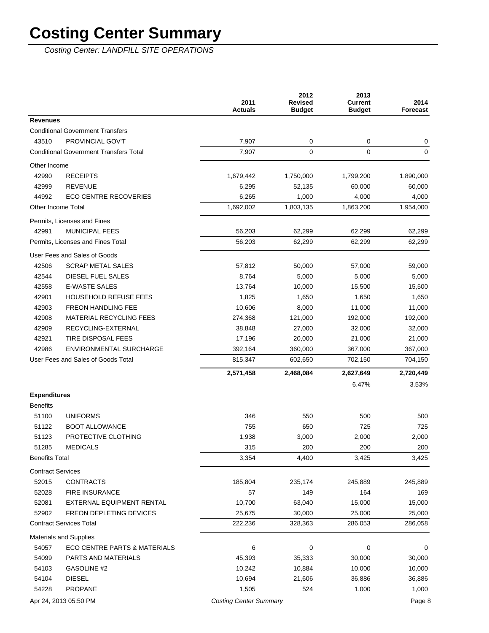Costing Center: LANDFILL SITE OPERATIONS

|                          |                                               | 2011<br><b>Actuals</b> | 2012<br><b>Revised</b><br><b>Budget</b> | 2013<br><b>Current</b><br><b>Budget</b> | 2014<br><b>Forecast</b> |
|--------------------------|-----------------------------------------------|------------------------|-----------------------------------------|-----------------------------------------|-------------------------|
| <b>Revenues</b>          |                                               |                        |                                         |                                         |                         |
|                          | <b>Conditional Government Transfers</b>       |                        |                                         |                                         |                         |
| 43510                    | PROVINCIAL GOV'T                              | 7,907                  | 0                                       | 0                                       | 0                       |
|                          | <b>Conditional Government Transfers Total</b> | 7,907                  | $\mathbf 0$                             | 0                                       | $\mathbf 0$             |
| Other Income             |                                               |                        |                                         |                                         |                         |
| 42990                    | <b>RECEIPTS</b>                               | 1,679,442              | 1,750,000                               | 1,799,200                               | 1,890,000               |
| 42999                    | <b>REVENUE</b>                                | 6,295                  | 52,135                                  | 60,000                                  | 60,000                  |
| 44992                    | <b>ECO CENTRE RECOVERIES</b>                  | 6,265                  | 1,000                                   | 4,000                                   | 4,000                   |
| Other Income Total       |                                               | 1,692,002              | 1,803,135                               | 1,863,200                               | 1,954,000               |
|                          | Permits, Licenses and Fines                   |                        |                                         |                                         |                         |
| 42991                    | <b>MUNICIPAL FEES</b>                         | 56,203                 | 62,299                                  | 62,299                                  | 62,299                  |
|                          | Permits, Licenses and Fines Total             | 56,203                 | 62,299                                  | 62,299                                  | 62,299                  |
|                          | User Fees and Sales of Goods                  |                        |                                         |                                         |                         |
| 42506                    | <b>SCRAP METAL SALES</b>                      | 57,812                 | 50,000                                  | 57,000                                  | 59,000                  |
| 42544                    | DIESEL FUEL SALES                             | 8,764                  | 5,000                                   | 5,000                                   | 5,000                   |
| 42558                    | <b>E-WASTE SALES</b>                          | 13,764                 | 10,000                                  | 15,500                                  | 15,500                  |
| 42901                    | <b>HOUSEHOLD REFUSE FEES</b>                  | 1,825                  | 1,650                                   | 1,650                                   | 1,650                   |
| 42903                    | <b>FREON HANDLING FEE</b>                     | 10,606                 | 8,000                                   | 11,000                                  | 11,000                  |
| 42908                    | <b>MATERIAL RECYCLING FEES</b>                | 274,368                | 121,000                                 | 192,000                                 | 192,000                 |
| 42909                    | RECYCLING-EXTERNAL                            | 38,848                 | 27,000                                  | 32,000                                  | 32,000                  |
| 42921                    | TIRE DISPOSAL FEES                            | 17,196                 | 20,000                                  | 21,000                                  | 21,000                  |
| 42986                    | ENVIRONMENTAL SURCHARGE                       | 392,164                | 360,000                                 | 367,000                                 | 367,000                 |
|                          | User Fees and Sales of Goods Total            | 815,347                | 602,650                                 | 702,150                                 | 704,150                 |
|                          |                                               | 2,571,458              | 2,468,084                               | 2,627,649                               | 2,720,449               |
|                          |                                               |                        |                                         | 6.47%                                   | 3.53%                   |
| <b>Expenditures</b>      |                                               |                        |                                         |                                         |                         |
| <b>Benefits</b>          |                                               |                        |                                         |                                         |                         |
| 51100                    | <b>UNIFORMS</b>                               | 346                    | 550                                     | 500                                     | 500                     |
| 51122                    | <b>BOOT ALLOWANCE</b>                         | 755                    | 650                                     | 725                                     | 725                     |
| 51123                    | PROTECTIVE CLOTHING                           | 1,938                  | 3,000                                   | 2,000                                   | 2,000                   |
| 51285                    | <b>MEDICALS</b>                               | 315                    | 200                                     | 200                                     | 200                     |
| <b>Benefits Total</b>    |                                               | 3,354                  | 4,400                                   | 3,425                                   | 3,425                   |
| <b>Contract Services</b> |                                               |                        |                                         |                                         |                         |
| 52015                    | <b>CONTRACTS</b>                              | 185,804                | 235,174                                 | 245,889                                 | 245,889                 |
| 52028                    | FIRE INSURANCE                                | 57                     | 149                                     | 164                                     | 169                     |
| 52081                    | EXTERNAL EQUIPMENT RENTAL                     | 10,700                 | 63,040                                  | 15,000                                  | 15,000                  |
| 52902                    | FREON DEPLETING DEVICES                       | 25,675                 | 30,000                                  | 25,000                                  | 25,000                  |
|                          | <b>Contract Services Total</b>                | 222,236                | 328,363                                 | 286,053                                 | 286,058                 |
|                          | Materials and Supplies                        |                        |                                         |                                         |                         |
| 54057                    | <b>ECO CENTRE PARTS &amp; MATERIALS</b>       | 6                      | 0                                       | 0                                       | 0                       |
| 54099                    | PARTS AND MATERIALS                           | 45,393                 | 35,333                                  | 30,000                                  | 30,000                  |
| 54103                    | GASOLINE #2                                   | 10,242                 | 10,884                                  | 10,000                                  | 10,000                  |
| 54104                    | <b>DIESEL</b>                                 | 10,694                 | 21,606                                  | 36,886                                  | 36,886                  |
| 54228                    | PROPANE                                       | 1,505                  | 524                                     | 1,000                                   | 1,000                   |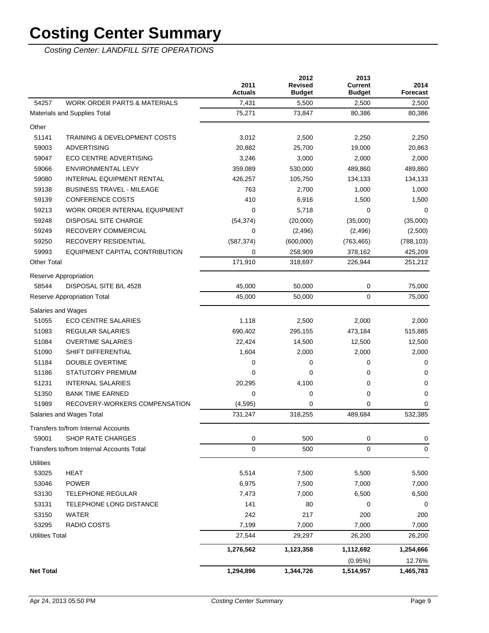Costing Center: LANDFILL SITE OPERATIONS

|                                                  | 2011<br><b>Actuals</b> | 2012<br><b>Revised</b><br><b>Budget</b> | 2013<br><b>Current</b><br><b>Budget</b> | 2014<br><b>Forecast</b> |
|--------------------------------------------------|------------------------|-----------------------------------------|-----------------------------------------|-------------------------|
| <b>WORK ORDER PARTS &amp; MATERIALS</b><br>54257 | 7,431                  | 5,500                                   | 2,500                                   | 2,500                   |
| Materials and Supplies Total                     | 75,271                 | 73,847                                  | 80,386                                  | 80,386                  |
| Other                                            |                        |                                         |                                         |                         |
| 51141<br><b>TRAINING &amp; DEVELOPMENT COSTS</b> | 3,012                  | 2,500                                   | 2,250                                   | 2,250                   |
| 59003<br><b>ADVERTISING</b>                      | 20,882                 | 25,700                                  | 19,000                                  | 20,863                  |
| 59047<br><b>ECO CENTRE ADVERTISING</b>           | 3,246                  | 3,000                                   | 2,000                                   | 2,000                   |
| 59066<br><b>ENVIRONMENTAL LEVY</b>               | 359.089                | 530,000                                 | 489,860                                 | 489,860                 |
| 59080<br><b>INTERNAL EQUIPMENT RENTAL</b>        | 426,257                | 105,750                                 | 134,133                                 | 134,133                 |
| 59138<br><b>BUSINESS TRAVEL - MILEAGE</b>        | 763                    | 2,700                                   | 1,000                                   | 1,000                   |
| 59139<br><b>CONFERENCE COSTS</b>                 | 410                    | 6,916                                   | 1,500                                   | 1,500                   |
| 59213<br>WORK ORDER INTERNAL EQUIPMENT           | 0                      | 5,718                                   | 0                                       | 0                       |
| DISPOSAL SITE CHARGE<br>59248                    | (54, 374)              | (20,000)                                | (35,000)                                | (35,000)                |
| 59249<br>RECOVERY COMMERCIAL                     | 0                      | (2, 496)                                | (2, 496)                                | (2,500)                 |
| 59250<br>RECOVERY RESIDENTIAL                    | (587, 374)             | (600,000)                               | (763, 465)                              | (788, 103)              |
| 59993<br>EQUIPMENT CAPITAL CONTRIBUTION          | 0                      | 258,909                                 | 378,162                                 | 425,209                 |
| <b>Other Total</b>                               | 171,910                | 318,697                                 | 226,944                                 | 251,212                 |
| Reserve Appropriation                            |                        |                                         |                                         |                         |
| 58544<br>DISPOSAL SITE B/L 4528                  | 45,000                 | 50,000                                  | 0                                       | 75,000                  |
| Reserve Appropriation Total                      | 45,000                 | 50,000                                  | 0                                       | 75,000                  |
| Salaries and Wages                               |                        |                                         |                                         |                         |
| 51055<br><b>ECO CENTRE SALARIES</b>              | 1,118                  | 2,500                                   | 2,000                                   | 2,000                   |
| 51083<br><b>REGULAR SALARIES</b>                 | 690,402                | 295,155                                 | 473,184                                 | 515,885                 |
| 51084<br><b>OVERTIME SALARIES</b>                | 22,424                 | 14,500                                  | 12,500                                  | 12,500                  |
| 51090<br>SHIFT DIFFERENTIAL                      | 1,604                  | 2,000                                   | 2,000                                   | 2,000                   |
| 51184<br><b>DOUBLE OVERTIME</b>                  | 0                      | 0                                       | 0                                       | 0                       |
| 51186<br><b>STATUTORY PREMIUM</b>                | 0                      | 0                                       | 0                                       | 0                       |
| 51231<br><b>INTERNAL SALARIES</b>                | 20,295                 | 4,100                                   | 0                                       | 0                       |
| <b>BANK TIME EARNED</b><br>51350                 | 0                      | $\mathbf 0$                             | 0                                       | 0                       |
| 51989<br>RECOVERY-WORKERS COMPENSATION           | (4, 595)               | $\mathbf 0$                             | 0                                       | 0                       |
| Salaries and Wages Total                         | 731,247                | 318,255                                 | 489,684                                 | 532,385                 |
| Transfers to/from Internal Accounts              |                        |                                         |                                         |                         |
| 59001<br><b>SHOP RATE CHARGES</b>                | 0                      | 500                                     | 0                                       | 0                       |
| Transfers to/from Internal Accounts Total        | 0                      | 500                                     | 0                                       | 0                       |
| <b>Utilities</b>                                 |                        |                                         |                                         |                         |
| 53025<br><b>HEAT</b>                             | 5,514                  | 7,500                                   | 5,500                                   | 5,500                   |
| 53046<br><b>POWER</b>                            | 6,975                  | 7,500                                   | 7,000                                   | 7,000                   |
| 53130<br><b>TELEPHONE REGULAR</b>                | 7,473                  | 7,000                                   | 6,500                                   | 6,500                   |
| 53131<br>TELEPHONE LONG DISTANCE                 | 141                    | 80                                      | 0                                       | 0                       |
| 53150<br><b>WATER</b>                            | 242                    | 217                                     | 200                                     | 200                     |
| 53295<br>RADIO COSTS                             | 7,199                  | 7,000                                   | 7,000                                   | 7,000                   |
| <b>Utilities Total</b>                           | 27,544                 | 29,297                                  | 26,200                                  | 26,200                  |
|                                                  | 1,276,562              | 1,123,358                               | 1,112,692                               | 1,254,666               |
|                                                  |                        |                                         | (0.95%)                                 | 12.76%                  |
| <b>Net Total</b>                                 | 1,294,896              | 1,344,726                               | 1,514,957                               | 1,465,783               |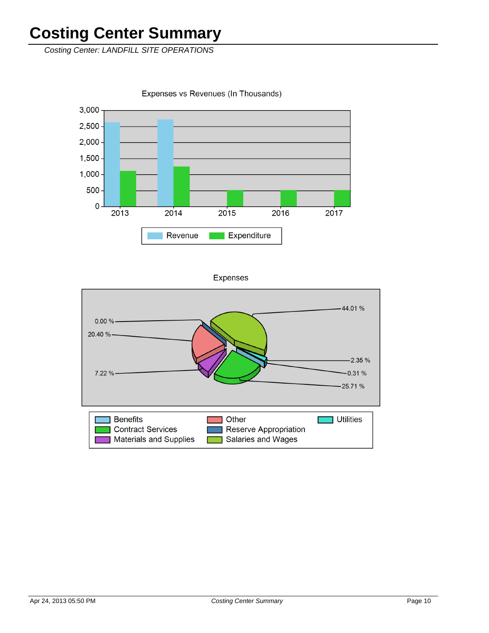Costing Center: LANDFILL SITE OPERATIONS

3,000  $2,500 2,000 1,500$  $1,000 -$ 500  $\mathbf 0$  $2013$  $2014$  $2016$ 2015 2017 Expenditure Revenue

Expenses vs Revenues (In Thousands)

**Expenses** 

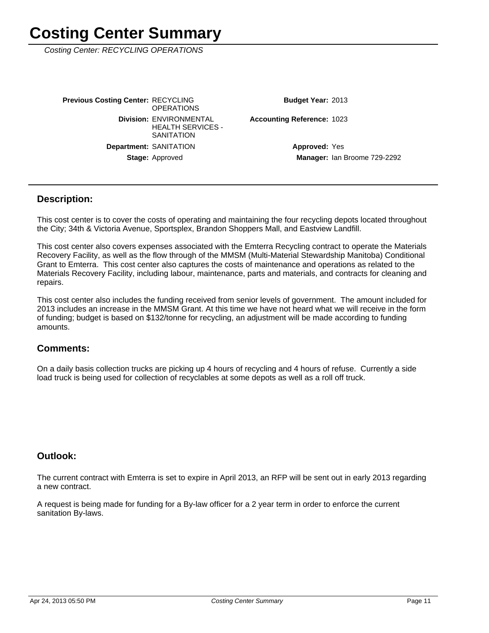Costing Center: RECYCLING OPERATIONS

Stage: Approved **Department: SANITATION Division: ENVIRONMENTAL** HEALTH SERVICES - **SANITATION Previous Costing Center: RECYCLING OPERATIONS** 

Budget Year: 2013

Accounting Reference: 1023

Manager: Ian Broome 729-2292 **Approved: Yes** 

#### **Description:**

This cost center is to cover the costs of operating and maintaining the four recycling depots located throughout the City; 34th & Victoria Avenue, Sportsplex, Brandon Shoppers Mall, and Eastview Landfill.

This cost center also covers expenses associated with the Emterra Recycling contract to operate the Materials Recovery Facility, as well as the flow through of the MMSM (Multi-Material Stewardship Manitoba) Conditional Grant to Emterra. This cost center also captures the costs of maintenance and operations as related to the Materials Recovery Facility, including labour, maintenance, parts and materials, and contracts for cleaning and repairs.

This cost center also includes the funding received from senior levels of government. The amount included for 2013 includes an increase in the MMSM Grant. At this time we have not heard what we will receive in the form of funding; budget is based on \$132/tonne for recycling, an adjustment will be made according to funding amounts.

#### **Comments:**

On a daily basis collection trucks are picking up 4 hours of recycling and 4 hours of refuse. Currently a side load truck is being used for collection of recyclables at some depots as well as a roll off truck.

#### **Outlook:**

The current contract with Emterra is set to expire in April 2013, an RFP will be sent out in early 2013 regarding a new contract.

A request is being made for funding for a By-law officer for a 2 year term in order to enforce the current sanitation By-laws.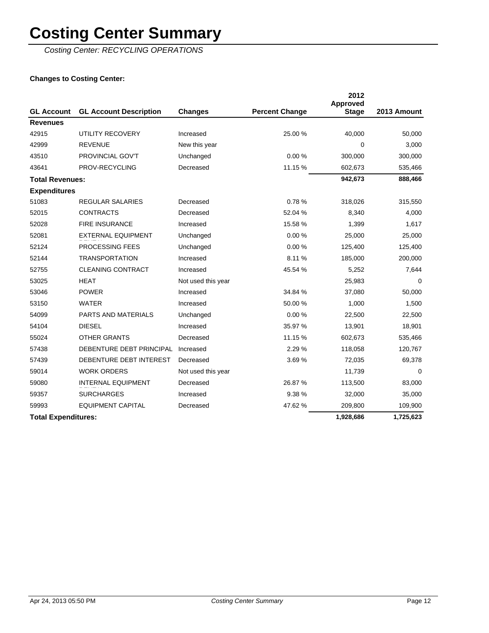Costing Center: RECYCLING OPERATIONS

### **Changes to Costing Center:**

|                            |                               |                    |                       | 2012<br>Approved |             |
|----------------------------|-------------------------------|--------------------|-----------------------|------------------|-------------|
| <b>GL Account</b>          | <b>GL Account Description</b> | <b>Changes</b>     | <b>Percent Change</b> | <b>Stage</b>     | 2013 Amount |
| <b>Revenues</b>            |                               |                    |                       |                  |             |
| 42915                      | UTILITY RECOVERY              | Increased          | 25.00 %               | 40,000           | 50,000      |
| 42999                      | <b>REVENUE</b>                | New this year      |                       | 0                | 3,000       |
| 43510                      | PROVINCIAL GOV'T              | Unchanged          | 0.00%                 | 300,000          | 300,000     |
| 43641                      | PROV-RECYCLING                | Decreased          | 11.15 %               | 602,673          | 535,466     |
| <b>Total Revenues:</b>     |                               |                    |                       | 942,673          | 888,466     |
| <b>Expenditures</b>        |                               |                    |                       |                  |             |
| 51083                      | <b>REGULAR SALARIES</b>       | Decreased          | 0.78%                 | 318,026          | 315,550     |
| 52015                      | <b>CONTRACTS</b>              | Decreased          | 52.04 %               | 8,340            | 4,000       |
| 52028                      | <b>FIRE INSURANCE</b>         | Increased          | 15.58 %               | 1,399            | 1,617       |
| 52081                      | <b>EXTERNAL EQUIPMENT</b>     | Unchanged          | 0.00%                 | 25,000           | 25,000      |
| 52124                      | PROCESSING FEES               | Unchanged          | 0.00%                 | 125,400          | 125,400     |
| 52144                      | <b>TRANSPORTATION</b>         | Increased          | 8.11%                 | 185,000          | 200,000     |
| 52755                      | <b>CLEANING CONTRACT</b>      | Increased          | 45.54 %               | 5,252            | 7,644       |
| 53025                      | <b>HEAT</b>                   | Not used this year |                       | 25,983           | $\Omega$    |
| 53046                      | <b>POWER</b>                  | Increased          | 34.84 %               | 37,080           | 50,000      |
| 53150                      | <b>WATER</b>                  | Increased          | 50.00 %               | 1,000            | 1,500       |
| 54099                      | <b>PARTS AND MATERIALS</b>    | Unchanged          | 0.00%                 | 22,500           | 22,500      |
| 54104                      | <b>DIESEL</b>                 | Increased          | 35.97 %               | 13,901           | 18,901      |
| 55024                      | <b>OTHER GRANTS</b>           | Decreased          | 11.15 %               | 602,673          | 535,466     |
| 57438                      | DEBENTURE DEBT PRINCIPAL      | Increased          | 2.29 %                | 118,058          | 120,767     |
| 57439                      | DEBENTURE DEBT INTEREST       | Decreased          | 3.69%                 | 72,035           | 69,378      |
| 59014                      | <b>WORK ORDERS</b>            | Not used this year |                       | 11,739           | 0           |
| 59080                      | <b>INTERNAL EQUIPMENT</b>     | Decreased          | 26.87 %               | 113,500          | 83,000      |
| 59357                      | <b>SURCHARGES</b>             | Increased          | 9.38%                 | 32,000           | 35,000      |
| 59993                      | <b>EQUIPMENT CAPITAL</b>      | Decreased          | 47.62 %               | 209,800          | 109,900     |
| <b>Total Expenditures:</b> |                               |                    |                       | 1,928,686        | 1,725,623   |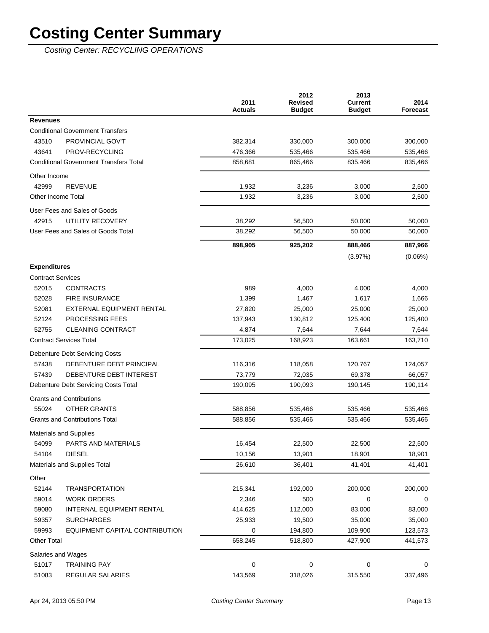Costing Center: RECYCLING OPERATIONS

|                                               | 2011<br><b>Actuals</b> | 2012<br><b>Revised</b><br><b>Budget</b> | 2013<br><b>Current</b><br><b>Budget</b> | 2014<br>Forecast |
|-----------------------------------------------|------------------------|-----------------------------------------|-----------------------------------------|------------------|
| <b>Revenues</b>                               |                        |                                         |                                         |                  |
| <b>Conditional Government Transfers</b>       |                        |                                         |                                         |                  |
| PROVINCIAL GOV'T<br>43510                     | 382,314                | 330,000                                 | 300,000                                 | 300,000          |
| 43641<br>PROV-RECYCLING                       | 476,366                | 535,466                                 | 535,466                                 | 535,466          |
| <b>Conditional Government Transfers Total</b> | 858,681                | 865,466                                 | 835,466                                 | 835,466          |
| Other Income                                  |                        |                                         |                                         |                  |
| 42999<br><b>REVENUE</b>                       | 1,932                  | 3,236                                   | 3,000                                   | 2,500            |
| Other Income Total                            | 1,932                  | 3,236                                   | 3,000                                   | 2,500            |
| User Fees and Sales of Goods                  |                        |                                         |                                         |                  |
| 42915<br>UTILITY RECOVERY                     | 38,292                 | 56,500                                  | 50,000                                  | 50,000           |
| User Fees and Sales of Goods Total            | 38,292                 | 56,500                                  | 50,000                                  | 50,000           |
|                                               | 898,905                | 925,202                                 | 888,466                                 | 887,966          |
|                                               |                        |                                         | (3.97%)                                 | $(0.06\%)$       |
| <b>Expenditures</b>                           |                        |                                         |                                         |                  |
| <b>Contract Services</b>                      |                        |                                         |                                         |                  |
| 52015<br><b>CONTRACTS</b>                     | 989                    | 4,000                                   | 4,000                                   | 4,000            |
| 52028<br><b>FIRE INSURANCE</b>                | 1,399                  | 1,467                                   | 1,617                                   | 1,666            |
| 52081<br><b>EXTERNAL EQUIPMENT RENTAL</b>     | 27,820                 | 25,000                                  | 25,000                                  | 25,000           |
| 52124<br><b>PROCESSING FEES</b>               | 137,943                | 130,812                                 | 125,400                                 | 125,400          |
| 52755<br><b>CLEANING CONTRACT</b>             | 4,874                  | 7,644                                   | 7,644                                   | 7,644            |
| <b>Contract Services Total</b>                | 173,025                | 168,923                                 | 163,661                                 | 163,710          |
| <b>Debenture Debt Servicing Costs</b>         |                        |                                         |                                         |                  |
| 57438<br>DEBENTURE DEBT PRINCIPAL             | 116,316                | 118,058                                 | 120,767                                 | 124,057          |
| 57439<br>DEBENTURE DEBT INTEREST              | 73,779                 | 72,035                                  | 69,378                                  | 66,057           |
| Debenture Debt Servicing Costs Total          | 190,095                | 190,093                                 | 190,145                                 | 190,114          |
| <b>Grants and Contributions</b>               |                        |                                         |                                         |                  |
| 55024<br>OTHER GRANTS                         | 588,856                | 535,466                                 | 535,466                                 | 535,466          |
| <b>Grants and Contributions Total</b>         | 588,856                | 535,466                                 | 535,466                                 | 535,466          |
| <b>Materials and Supplies</b>                 |                        |                                         |                                         |                  |
| 54099<br>PARTS AND MATERIALS                  | 16,454                 | 22,500                                  | 22,500                                  | 22,500           |
| 54104<br><b>DIESEL</b>                        | 10,156                 | 13,901                                  | 18,901                                  | 18,901           |
| Materials and Supplies Total                  | 26,610                 | 36,401                                  | 41,401                                  | 41,401           |
| Other                                         |                        |                                         |                                         |                  |
| 52144<br><b>TRANSPORTATION</b>                | 215,341                | 192,000                                 | 200,000                                 | 200,000          |
| 59014<br><b>WORK ORDERS</b>                   | 2,346                  | 500                                     | 0                                       | 0                |
| 59080<br>INTERNAL EQUIPMENT RENTAL            | 414,625                | 112,000                                 | 83,000                                  | 83,000           |
| 59357<br><b>SURCHARGES</b>                    | 25,933                 | 19,500                                  | 35,000                                  | 35,000           |
| 59993<br>EQUIPMENT CAPITAL CONTRIBUTION       | 0                      | 194,800                                 | 109,900                                 | 123,573          |
| <b>Other Total</b>                            | 658,245                | 518,800                                 | 427,900                                 | 441,573          |
| Salaries and Wages                            |                        |                                         |                                         |                  |
| 51017<br><b>TRAINING PAY</b>                  | 0                      | 0                                       | 0                                       | 0                |
| 51083<br>REGULAR SALARIES                     | 143,569                | 318,026                                 | 315,550                                 | 337,496          |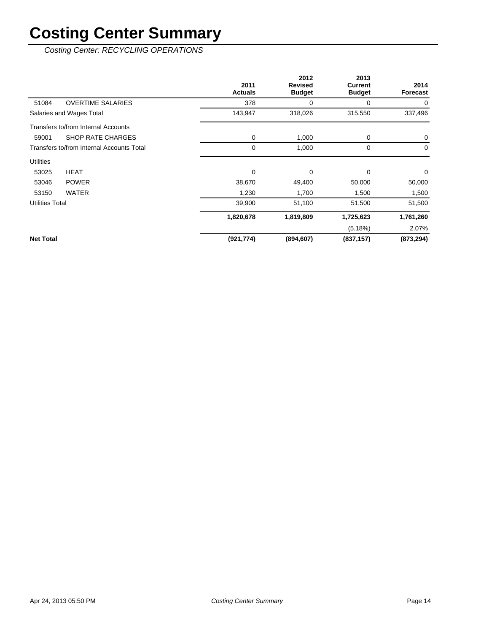Costing Center: RECYCLING OPERATIONS

|                        |                                           | 2011<br><b>Actuals</b> | 2012<br><b>Revised</b><br><b>Budget</b> | 2013<br>Current<br><b>Budget</b> | 2014<br><b>Forecast</b> |
|------------------------|-------------------------------------------|------------------------|-----------------------------------------|----------------------------------|-------------------------|
| 51084                  | <b>OVERTIME SALARIES</b>                  | 378                    | 0                                       | 0                                | 0                       |
|                        | Salaries and Wages Total                  | 143,947                | 318,026                                 | 315,550                          | 337,496                 |
|                        | Transfers to/from Internal Accounts       |                        |                                         |                                  |                         |
| 59001                  | <b>SHOP RATE CHARGES</b>                  | 0                      | 1,000                                   | 0                                | $\mathbf 0$             |
|                        | Transfers to/from Internal Accounts Total | 0                      | 1,000                                   | 0                                | 0                       |
| <b>Utilities</b>       |                                           |                        |                                         |                                  |                         |
| 53025                  | HEAT                                      | 0                      | 0                                       | $\Omega$                         | $\mathbf 0$             |
| 53046                  | <b>POWER</b>                              | 38,670                 | 49,400                                  | 50,000                           | 50,000                  |
| 53150                  | <b>WATER</b>                              | 1,230                  | 1,700                                   | 1,500                            | 1,500                   |
| <b>Utilities Total</b> |                                           | 39,900                 | 51,100                                  | 51,500                           | 51,500                  |
|                        |                                           | 1,820,678              | 1,819,809                               | 1,725,623                        | 1,761,260               |
|                        |                                           |                        |                                         | (5.18%)                          | 2.07%                   |
| <b>Net Total</b>       |                                           | (921, 774)             | (894, 607)                              | (837, 157)                       | (873, 294)              |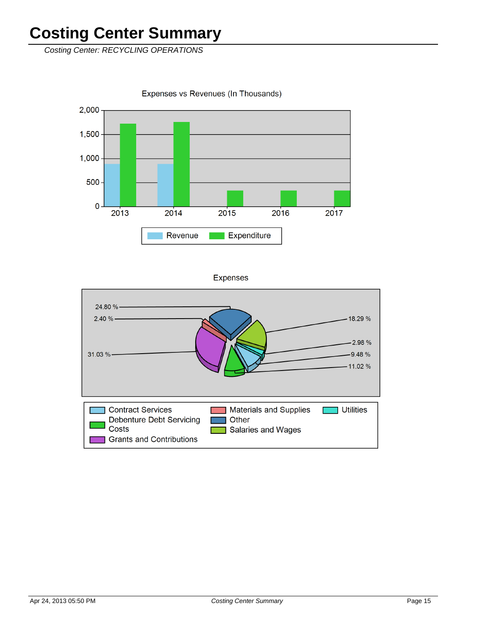Costing Center: RECYCLING OPERATIONS

Expenses vs Revenues (In Thousands)



**Expenses** 

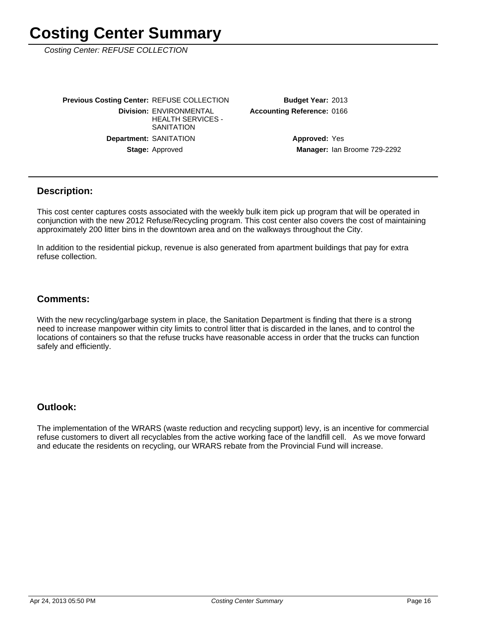Costing Center: REFUSE COLLECTION

Stage: Approved **Department: SANITATION Division: ENVIRONMENTAL** HEALTH SERVICES - **SANITATION Previous Costing Center: REFUSE COLLECTION**  **Accounting Reference: 0166** Budget Year: 2013

> Manager: Ian Broome 729-2292 **Approved: Yes**

#### **Description:**

This cost center captures costs associated with the weekly bulk item pick up program that will be operated in conjunction with the new 2012 Refuse/Recycling program. This cost center also covers the cost of maintaining approximately 200 litter bins in the downtown area and on the walkways throughout the City.

In addition to the residential pickup, revenue is also generated from apartment buildings that pay for extra refuse collection.

### **Comments:**

With the new recycling/garbage system in place, the Sanitation Department is finding that there is a strong need to increase manpower within city limits to control litter that is discarded in the lanes, and to control the locations of containers so that the refuse trucks have reasonable access in order that the trucks can function safely and efficiently.

### **Outlook:**

The implementation of the WRARS (waste reduction and recycling support) levy, is an incentive for commercial refuse customers to divert all recyclables from the active working face of the landfill cell. As we move forward and educate the residents on recycling, our WRARS rebate from the Provincial Fund will increase.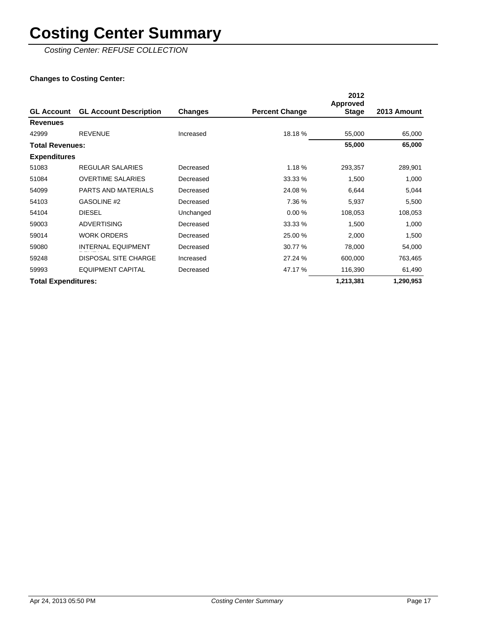Costing Center: REFUSE COLLECTION

### **Changes to Costing Center:**

|                            |                               |           |                       | 2012<br>Approved |             |
|----------------------------|-------------------------------|-----------|-----------------------|------------------|-------------|
| <b>GL Account</b>          | <b>GL Account Description</b> | Changes   | <b>Percent Change</b> | <b>Stage</b>     | 2013 Amount |
| <b>Revenues</b>            |                               |           |                       |                  |             |
| 42999                      | <b>REVENUE</b>                | Increased | 18.18 %               | 55,000           | 65,000      |
| <b>Total Revenues:</b>     |                               |           |                       | 55,000           | 65,000      |
| <b>Expenditures</b>        |                               |           |                       |                  |             |
| 51083                      | REGULAR SALARIES              | Decreased | 1.18%                 | 293,357          | 289,901     |
| 51084                      | <b>OVERTIME SALARIES</b>      | Decreased | 33.33 %               | 1,500            | 1,000       |
| 54099                      | PARTS AND MATERIALS           | Decreased | 24.08%                | 6,644            | 5,044       |
| 54103                      | GASOLINE #2                   | Decreased | 7.36 %                | 5,937            | 5,500       |
| 54104                      | <b>DIESEL</b>                 | Unchanged | 0.00%                 | 108,053          | 108,053     |
| 59003                      | <b>ADVERTISING</b>            | Decreased | 33.33 %               | 1,500            | 1,000       |
| 59014                      | <b>WORK ORDERS</b>            | Decreased | 25.00 %               | 2,000            | 1,500       |
| 59080                      | <b>INTERNAL EQUIPMENT</b>     | Decreased | 30.77 %               | 78,000           | 54,000      |
| 59248                      | <b>DISPOSAL SITE CHARGE</b>   | Increased | 27.24 %               | 600,000          | 763,465     |
| 59993                      | <b>EQUIPMENT CAPITAL</b>      | Decreased | 47.17 %               | 116,390          | 61,490      |
| <b>Total Expenditures:</b> |                               |           |                       | 1,213,381        | 1,290,953   |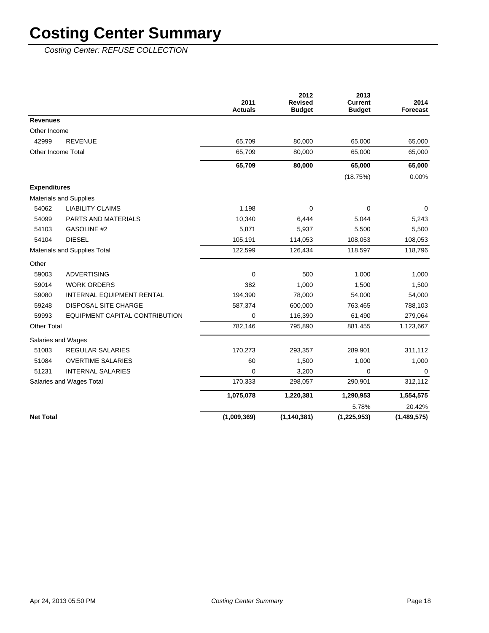Costing Center: REFUSE COLLECTION

|                     |                                  | 2011<br><b>Actuals</b> | 2012<br><b>Revised</b><br><b>Budget</b> | 2013<br><b>Current</b><br><b>Budget</b> | 2014<br>Forecast |
|---------------------|----------------------------------|------------------------|-----------------------------------------|-----------------------------------------|------------------|
| <b>Revenues</b>     |                                  |                        |                                         |                                         |                  |
| Other Income        |                                  |                        |                                         |                                         |                  |
| 42999               | <b>REVENUE</b>                   | 65,709                 | 80,000                                  | 65,000                                  | 65,000           |
|                     | Other Income Total               | 65,709                 | 80,000                                  | 65,000                                  | 65,000           |
|                     |                                  | 65,709                 | 80,000                                  | 65,000                                  | 65,000           |
|                     |                                  |                        |                                         | (18.75%)                                | 0.00%            |
| <b>Expenditures</b> |                                  |                        |                                         |                                         |                  |
|                     | <b>Materials and Supplies</b>    |                        |                                         |                                         |                  |
| 54062               | <b>LIABILITY CLAIMS</b>          | 1,198                  | 0                                       | 0                                       | 0                |
| 54099               | PARTS AND MATERIALS              | 10,340                 | 6,444                                   | 5,044                                   | 5,243            |
| 54103               | <b>GASOLINE #2</b>               | 5,871                  | 5,937                                   | 5,500                                   | 5,500            |
| 54104               | <b>DIESEL</b>                    | 105,191                | 114,053                                 | 108,053                                 | 108,053          |
|                     | Materials and Supplies Total     | 122,599                | 126,434                                 | 118,597                                 | 118,796          |
| Other               |                                  |                        |                                         |                                         |                  |
| 59003               | <b>ADVERTISING</b>               | $\Omega$               | 500                                     | 1,000                                   | 1,000            |
| 59014               | <b>WORK ORDERS</b>               | 382                    | 1,000                                   | 1,500                                   | 1,500            |
| 59080               | <b>INTERNAL EQUIPMENT RENTAL</b> | 194,390                | 78,000                                  | 54,000                                  | 54,000           |
| 59248               | DISPOSAL SITE CHARGE             | 587,374                | 600,000                                 | 763,465                                 | 788,103          |
| 59993               | EQUIPMENT CAPITAL CONTRIBUTION   | $\mathbf 0$            | 116,390                                 | 61,490                                  | 279,064          |
| <b>Other Total</b>  |                                  | 782,146                | 795,890                                 | 881,455                                 | 1,123,667        |
|                     | Salaries and Wages               |                        |                                         |                                         |                  |
| 51083               | <b>REGULAR SALARIES</b>          | 170,273                | 293,357                                 | 289,901                                 | 311,112          |
| 51084               | <b>OVERTIME SALARIES</b>         | 60                     | 1,500                                   | 1,000                                   | 1,000            |
| 51231               | <b>INTERNAL SALARIES</b>         | $\Omega$               | 3,200                                   | 0                                       | 0                |
|                     | Salaries and Wages Total         | 170,333                | 298,057                                 | 290,901                                 | 312,112          |
|                     |                                  | 1,075,078              | 1,220,381                               | 1,290,953                               | 1,554,575        |
|                     |                                  |                        |                                         | 5.78%                                   | 20.42%           |
| <b>Net Total</b>    |                                  | (1,009,369)            | (1, 140, 381)                           | (1, 225, 953)                           | (1,489,575)      |